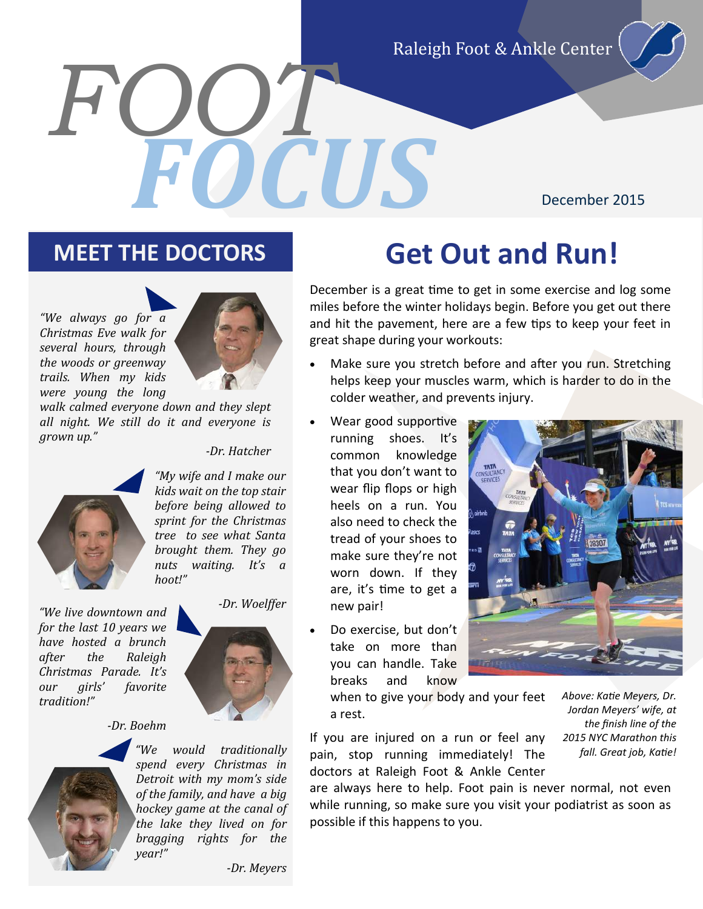Raleigh Foot & Ankle Center

# *FOOT FOCUS*

#### December 2015





*walk calmed everyone down and they slept all night. We still do it and everyone is grown up."*

*-Dr. Hatcher*



*"My wife and I make our kids wait on the top stair before being allowed to sprint for the Christmas tree to see what Santa brought them. They go nuts waiting. It's a hoot!"* 

*-Dr. Woelffer "We live downtown and for the last 10 years we have hosted a brunch after the Raleigh Christmas Parade. It's our girls' favorite tradition!"* 

*-Dr. Boehm*



*"We would traditionally spend every Christmas in Detroit with my mom's side of the family, and have a big hockey game at the canal of the lake they lived on for bragging rights for the year!"*

### **MEET THE DOCTORS Get Out and Run!**

December is a great time to get in some exercise and log some miles before the winter holidays begin. Before you get out there and hit the pavement, here are a few tips to keep your feet in great shape during your workouts:

- Make sure you stretch before and after you run. Stretching helps keep your muscles warm, which is harder to do in the colder weather, and prevents injury.
	- Wear good supportive running shoes. It's common knowledge that you don't want to wear flip flops or high heels on a run. You also need to check the tread of your shoes to make sure they're not worn down. If they are, it's time to get a new pair!
- Do exercise, but don't take on more than you can handle. Take breaks and know

when to give your body and your feet a rest.

If you are injured on a run or feel any pain, stop running immediately! The doctors at Raleigh Foot & Ankle Center

are always here to help. Foot pain is never normal, not even while running, so make sure you visit your podiatrist as soon as possible if this happens to you.

CONSULTAN

*Jordan Meyers' wife, at the finish line of the 2015 NYC Marathon this fall. Great job, Katie!*

*Above: Katie Meyers, Dr.* 

*-Dr. Meyers*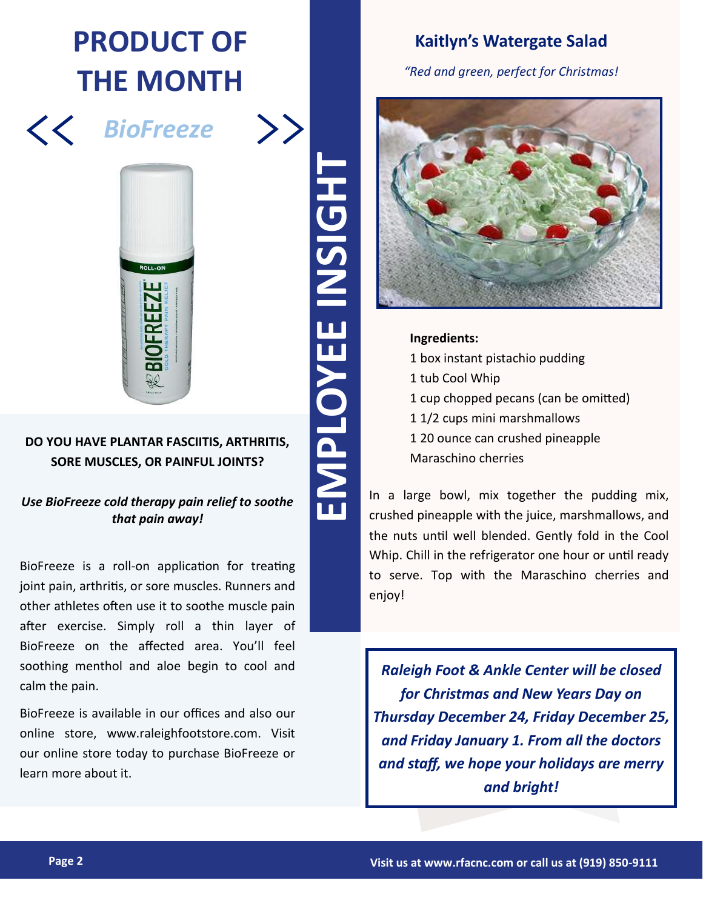### **PRODUCT OF THE MONTH**



 $\left\langle \right\rangle$ 



#### **DO YOU HAVE PLANTAR FASCIITIS, ARTHRITIS, SORE MUSCLES, OR PAINFUL JOINTS?**

*Use BioFreeze cold therapy pain relief to soothe that pain away!*

BioFreeze is a roll-on application for treating joint pain, arthritis, or sore muscles. Runners and other athletes often use it to soothe muscle pain after exercise. Simply roll a thin layer of BioFreeze on the affected area. You'll feel soothing menthol and aloe begin to cool and calm the pain.

BioFreeze is available in our offices and also our online store, www.raleighfootstore.com. Visit our online store today to purchase BioFreeze or learn more about it.

#### **Kaitlyn's Watergate Salad**

*"Red and green, perfect for Christmas!*



**Ingredients:**

1 box instant pistachio pudding 1 tub Cool Whip 1 cup chopped pecans (can be omitted) 1 1/2 cups mini marshmallows 1 20 ounce can crushed pineapple Maraschino cherries

In a large bowl, mix together the pudding mix, crushed pineapple with the juice, marshmallows, and the nuts until well blended. Gently fold in the Cool Whip. Chill in the refrigerator one hour or until ready to serve. Top with the Maraschino cherries and enjoy!

*Raleigh Foot & Ankle Center will be closed for Christmas and New Years Day on Thursday December 24, Friday December 25, and Friday January 1. From all the doctors and staff, we hope your holidays are merry and bright!*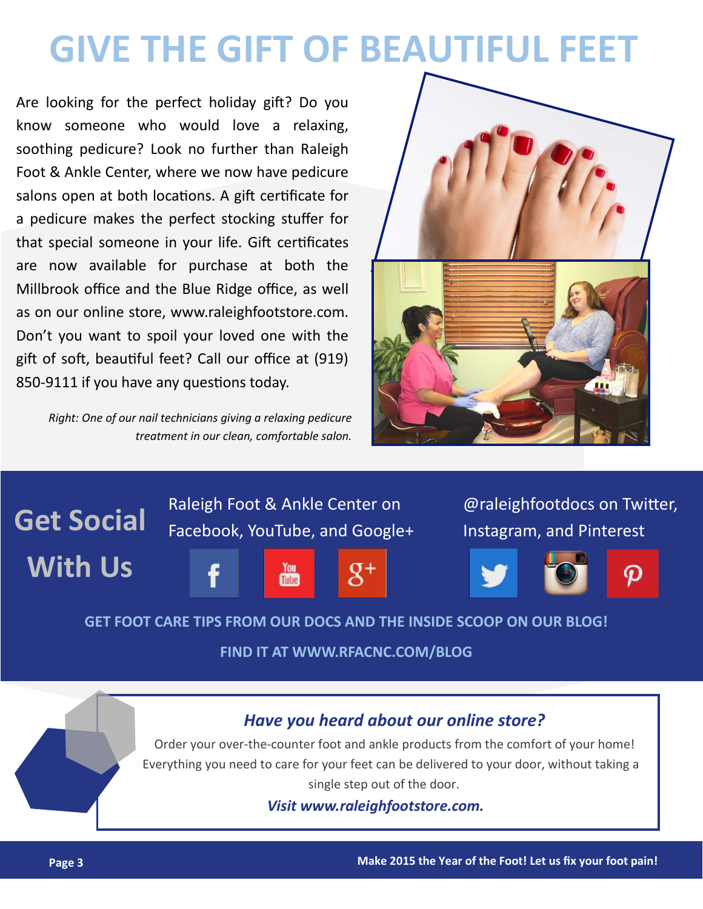### **GIVE THE GIFT OF BEAUTIFUL FEET**

Are looking for the perfect holiday gift? Do you know someone who would love a relaxing, soothing pedicure? Look no further than Raleigh Foot & Ankle Center, where we now have pedicure salons open at both locations. A gift certificate for a pedicure makes the perfect stocking stuffer for that special someone in your life. Gift certificates are now available for purchase at both the Millbrook office and the Blue Ridge office, as well as on our online store, www.raleighfootstore.com. Don't you want to spoil your loved one with the gift of soft, beautiful feet? Call our office at (919) 850-9111 if you have any questions today.

*Right: One of our nail technicians giving a relaxing pedicure treatment in our clean, comfortable salon.*





#### **GET FOOT CARE TIPS FROM OUR DOCS AND THE INSIDE SCOOP ON OUR BLOG!**

**FIND IT AT WWW.RFACNC.COM/BLOG**

#### *Have you heard about our online store?*

Order your over-the-counter foot and ankle products from the comfort of your home! Everything you need to care for your feet can be delivered to your door, without taking a single step out of the door.

*Visit www.raleighfootstore.com.*